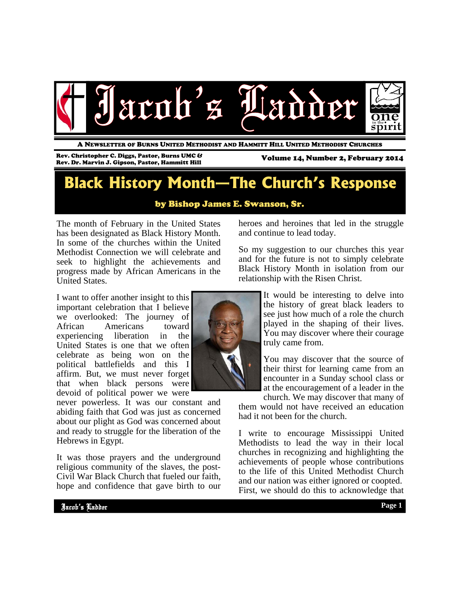

A NEWSLETTER OF BURNS UNITED METHODIST AND HAMMITT HILL UNITED METHODIST CHURCHES

Rev. Christopher C. Diggs, Pastor, Burns UMC & Rev. Christopher C. Diggs, Pastor, Burns UMC & Volume 14, Number 2, February 2014<br>Rev. Dr. Marvin J. Gipson, Pastor, Hammitt Hill XIII

### **Black History Month—The Church's Response**

by Bishop James E. Swanson, Sr.

The month of February in the United States has been designated as Black History Month. In some of the churches within the United Methodist Connection we will celebrate and seek to highlight the achievements and progress made by African Americans in the United States.

I want to offer another insight to this important celebration that I believe we overlooked: The journey of African Americans toward experiencing liberation in the United States is one that we often celebrate as being won on the political battlefields and this I affirm. But, we must never forget that when black persons were devoid of political power we were

never powerless. It was our constant and abiding faith that God was just as concerned about our plight as God was concerned about and ready to struggle for the liberation of the Hebrews in Egypt.

It was those prayers and the underground religious community of the slaves, the post-Civil War Black Church that fueled our faith, hope and confidence that gave birth to our heroes and heroines that led in the struggle and continue to lead today.

So my suggestion to our churches this year and for the future is not to simply celebrate Black History Month in isolation from our relationship with the Risen Christ.

> It would be interesting to delve into the history of great black leaders to see just how much of a role the church played in the shaping of their lives. You may discover where their courage truly came from.

> You may discover that the source of their thirst for learning came from an encounter in a Sunday school class or at the encouragement of a leader in the

church. We may discover that many of them would not have received an education had it not been for the church.

I write to encourage Mississippi United Methodists to lead the way in their local churches in recognizing and highlighting the achievements of people whose contributions to the life of this United Methodist Church and our nation was either ignored or coopted. First, we should do this to acknowledge that

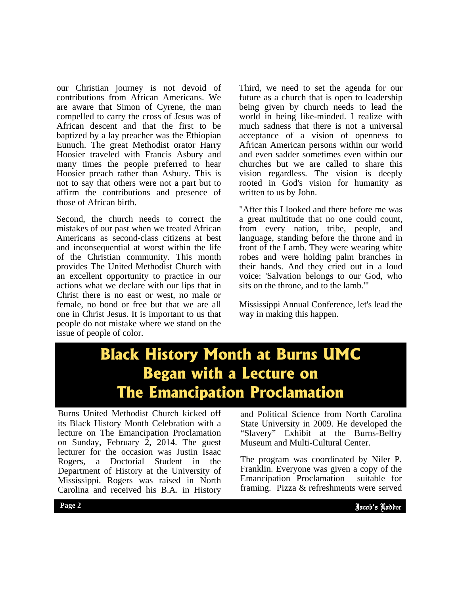our Christian journey is not devoid of contributions from African Americans. We are aware that Simon of Cyrene, the man compelled to carry the cross of Jesus was of African descent and that the first to be baptized by a lay preacher was the Ethiopian Eunuch. The great Methodist orator Harry Hoosier traveled with Francis Asbury and many times the people preferred to hear Hoosier preach rather than Asbury. This is not to say that others were not a part but to affirm the contributions and presence of those of African birth.

Second, the church needs to correct the mistakes of our past when we treated African Americans as second-class citizens at best and inconsequential at worst within the life of the Christian community. This month provides The United Methodist Church with an excellent opportunity to practice in our actions what we declare with our lips that in Christ there is no east or west, no male or female, no bond or free but that we are all one in Christ Jesus. It is important to us that people do not mistake where we stand on the issue of people of color.

Third, we need to set the agenda for our future as a church that is open to leadership being given by church needs to lead the world in being like-minded. I realize with much sadness that there is not a universal acceptance of a vision of openness to African American persons within our world and even sadder sometimes even within our churches but we are called to share this vision regardless. The vision is deeply rooted in God's vision for humanity as written to us by John.

"After this I looked and there before me was a great multitude that no one could count, from every nation, tribe, people, and language, standing before the throne and in front of the Lamb. They were wearing white robes and were holding palm branches in their hands. And they cried out in a loud voice: 'Salvation belongs to our God, who sits on the throne, and to the lamb.'"

Mississippi Annual Conference, let's lead the way in making this happen.

## **Black History Month at Burns UMC Began with a Lecture on The Emancipation Proclamation**

Burns United Methodist Church kicked off its Black History Month Celebration with a lecture on The Emancipation Proclamation on Sunday, February 2, 2014. The guest lecturer for the occasion was Justin Isaac Rogers, a Doctorial Student in the Department of History at the University of Mississippi. Rogers was raised in North Carolina and received his B.A. in History

and Political Science from North Carolina State University in 2009. He developed the "Slavery" Exhibit at the Burns-Belfry Museum and Multi-Cultural Center.

The program was coordinated by INTEL 1.<br>Franklin. Everyone was given a copy of the The program was coordinated by Niler P. Emancipation Proclamation suitable for framing. Pizza & refreshments were served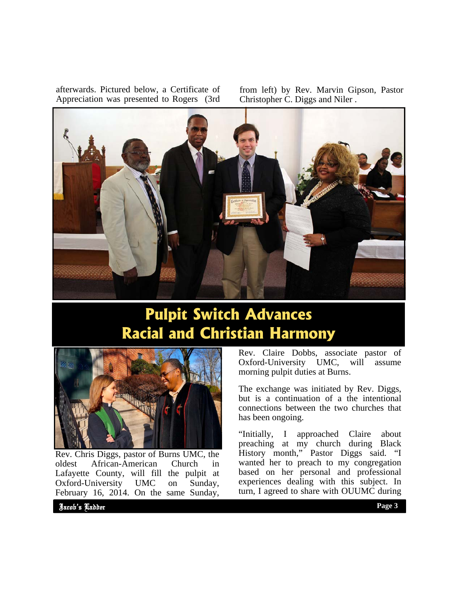afterwards. Pictured below, a Certificate of Appreciation was presented to Rogers (3rd

from left) by Rev. Marvin Gipson, Pastor Christopher C. Diggs and Niler .



### **Pulpit Switch Advances Racial and Christian Harmony**



Rev. Chris Diggs, pastor of Burns UMC, the oldest African-American Church in Lafayette County, will fill the pulpit at Oxford-University UMC on Sunday, February 16, 2014. On the same Sunday,

Rev. Claire Dobbs, associate pastor of Oxford-University UMC, will assume morning pulpit duties at Burns.

The exchange was initiated by Rev. Diggs, but is a continuation of a the intentional connections between the two churches that has been ongoing.

"Initially, I approached Claire about preaching at my church during Black History month," Pastor Diggs said. "I wanted her to preach to my congregation based on her personal and professional experiences dealing with this subject. In turn, I agreed to share with OUUMC during

Jacob's Ladder Page 2 **Page 3 Page 3** Jacob's Ladder